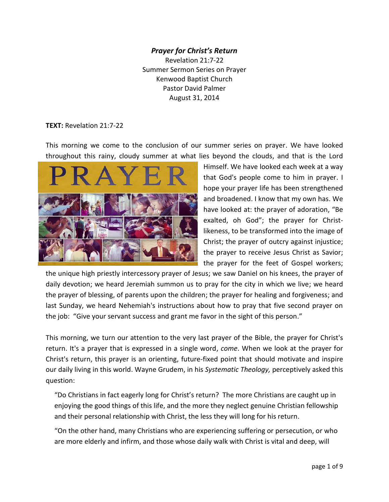## *Prayer for Christ's Return* Revelation 21:7-22 Summer Sermon Series on Prayer Kenwood Baptist Church Pastor David Palmer August 31, 2014

## **TEXT:** Revelation 21:7-22

This morning we come to the conclusion of our summer series on prayer. We have looked throughout this rainy, cloudy summer at what lies beyond the clouds, and that is the Lord



Himself. We have looked each week at a way that God's people come to him in prayer. I hope your prayer life has been strengthened and broadened. I know that my own has. We have looked at: the prayer of adoration, "Be exalted, oh God"; the prayer for Christlikeness, to be transformed into the image of Christ; the prayer of outcry against injustice; the prayer to receive Jesus Christ as Savior; the prayer for the feet of Gospel workers;

the unique high priestly intercessory prayer of Jesus; we saw Daniel on his knees, the prayer of daily devotion; we heard Jeremiah summon us to pray for the city in which we live; we heard the prayer of blessing, of parents upon the children; the prayer for healing and forgiveness; and last Sunday, we heard Nehemiah's instructions about how to pray that five second prayer on the job: "Give your servant success and grant me favor in the sight of this person."

This morning, we turn our attention to the very last prayer of the Bible, the prayer for Christ's return. It's a prayer that is expressed in a single word, *come*. When we look at the prayer for Christ's return, this prayer is an orienting, future-fixed point that should motivate and inspire our daily living in this world. Wayne Grudem, in his *Systematic Theology,* perceptively asked this question:

 "Do Christians in fact eagerly long for Christ's return? The more Christians are caught up in enjoying the good things of this life, and the more they neglect genuine Christian fellowship and their personal relationship with Christ, the less they will long for his return.

 "On the other hand, many Christians who are experiencing suffering or persecution, or who are more elderly and infirm, and those whose daily walk with Christ is vital and deep, will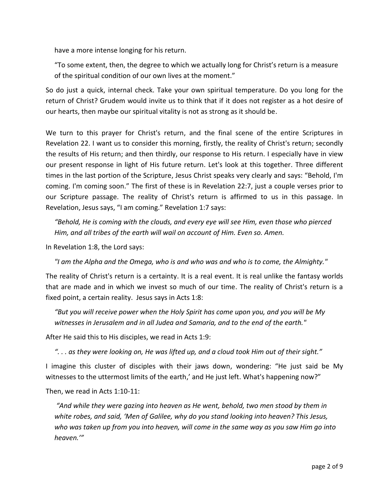have a more intense longing for his return.

 "To some extent, then, the degree to which we actually long for Christ's return is a measure of the spiritual condition of our own lives at the moment."

So do just a quick, internal check. Take your own spiritual temperature. Do you long for the return of Christ? Grudem would invite us to think that if it does not register as a hot desire of our hearts, then maybe our spiritual vitality is not as strong as it should be.

We turn to this prayer for Christ's return, and the final scene of the entire Scriptures in Revelation 22. I want us to consider this morning, firstly, the reality of Christ's return; secondly the results of His return; and then thirdly, our response to His return. I especially have in view our present response in light of His future return. Let's look at this together. Three different times in the last portion of the Scripture, Jesus Christ speaks very clearly and says: "Behold, I'm coming. I'm coming soon." The first of these is in Revelation 22:7, just a couple verses prior to our Scripture passage. The reality of Christ's return is affirmed to us in this passage. In Revelation, Jesus says, "I am coming." Revelation 1:7 says:

 *"Behold, He is coming with the clouds, and every eye will see Him, even those who pierced Him, and all tribes of the earth will wail on account of Him. Even so. Amen.*

In Revelation 1:8, the Lord says:

 *"I am the Alpha and the Omega, who is and who was and who is to come, the Almighty."*

The reality of Christ's return is a certainty. It is a real event. It is real unlike the fantasy worlds that are made and in which we invest so much of our time. The reality of Christ's return is a fixed point, a certain reality. Jesus says in Acts 1:8:

 *"But you will receive power when the Holy Spirit has come upon you, and you will be My witnesses in Jerusalem and in all Judea and Samaria, and to the end of the earth."*

After He said this to His disciples, we read in Acts 1:9:

*". . . as they were looking on, He was lifted up, and a cloud took Him out of their sight."*

I imagine this cluster of disciples with their jaws down, wondering: "He just said be My witnesses to the uttermost limits of the earth,' and He just left. What's happening now?"

Then, we read in Acts 1:10-11:

 *"And while they were gazing into heaven as He went, behold, two men stood by them in white robes, and said, 'Men of Galilee, why do you stand looking into heaven? This Jesus, who was taken up from you into heaven, will come in the same way as you saw Him go into heaven.'"*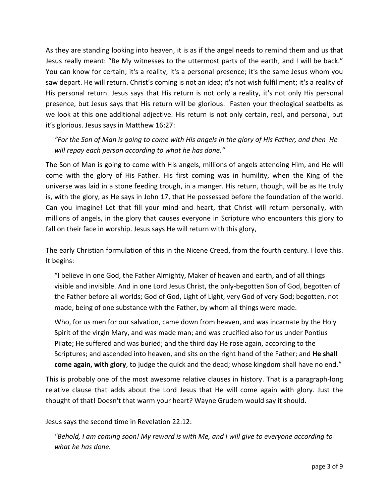As they are standing looking into heaven, it is as if the angel needs to remind them and us that Jesus really meant: "Be My witnesses to the uttermost parts of the earth, and I will be back." You can know for certain; it's a reality; it's a personal presence; it's the same Jesus whom you saw depart. He will return. Christ's coming is not an idea; it's not wish fulfillment; it's a reality of His personal return. Jesus says that His return is not only a reality, it's not only His personal presence, but Jesus says that His return will be glorious. Fasten your theological seatbelts as we look at this one additional adjective. His return is not only certain, real, and personal, but it's glorious. Jesus says in Matthew 16:27:

 *"For the Son of Man is going to come with His angels in the glory of His Father, and then He will repay each person according to what he has done."* 

The Son of Man is going to come with His angels, millions of angels attending Him, and He will come with the glory of His Father. His first coming was in humility, when the King of the universe was laid in a stone feeding trough, in a manger. His return, though, will be as He truly is, with the glory, as He says in John 17, that He possessed before the foundation of the world. Can you imagine! Let that fill your mind and heart, that Christ will return personally, with millions of angels, in the glory that causes everyone in Scripture who encounters this glory to fall on their face in worship. Jesus says He will return with this glory,

The early Christian formulation of this in the Nicene Creed, from the fourth century. I love this. It begins:

 "I believe in one God, the Father Almighty, Maker of heaven and earth, and of all things visible and invisible. And in one Lord Jesus Christ, the only-begotten Son of God, begotten of the Father before all worlds; God of God, Light of Light, very God of very God; begotten, not made, being of one substance with the Father, by whom all things were made.

 Who, for us men for our salvation, came down from heaven, and was incarnate by the Holy Spirit of the virgin Mary, and was made man; and was crucified also for us under Pontius Pilate; He suffered and was buried; and the third day He rose again, according to the Scriptures; and ascended into heaven, and sits on the right hand of the Father; and **He shall come again, with glory**, to judge the quick and the dead; whose kingdom shall have no end."

This is probably one of the most awesome relative clauses in history. That is a paragraph-long relative clause that adds about the Lord Jesus that He will come again with glory. Just the thought of that! Doesn't that warm your heart? Wayne Grudem would say it should.

Jesus says the second time in Revelation 22:12:

 *"Behold, I am coming soon! My reward is with Me, and I will give to everyone according to what he has done.*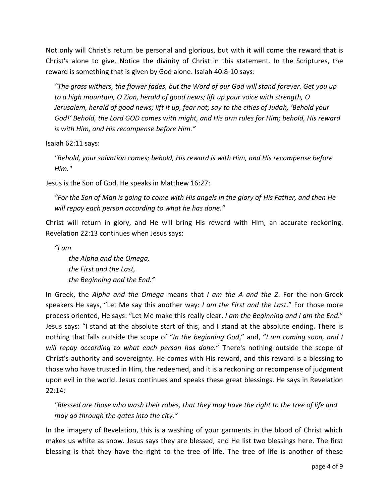Not only will Christ's return be personal and glorious, but with it will come the reward that is Christ's alone to give. Notice the divinity of Christ in this statement. In the Scriptures, the reward is something that is given by God alone. Isaiah 40:8-10 says:

 *"The grass withers, the flower fades, but the Word of our God will stand forever. Get you up to a high mountain, O Zion, herald of good news; lift up your voice with strength, O Jerusalem, herald of good news; lift it up, fear not; say to the cities of Judah, 'Behold your God!' Behold, the Lord GOD comes with might, and His arm rules for Him; behold, His reward is with Him, and His recompense before Him."*

Isaiah 62:11 says:

 *"Behold, your salvation comes; behold, His reward is with Him, and His recompense before Him."*

Jesus is the Son of God. He speaks in Matthew 16:27:

 *"For the Son of Man is going to come with His angels in the glory of His Father, and then He will repay each person according to what he has done."* 

Christ will return in glory, and He will bring His reward with Him, an accurate reckoning. Revelation 22:13 continues when Jesus says:

*"I am* 

*the Alpha and the Omega, the First and the Last, the Beginning and the End."*

In Greek, the *Alpha and the Omega* means that *I am the A and the Z*. For the non-Greek speakers He says, "Let Me say this another way: *I am the First and the Last*." For those more process oriented, He says: "Let Me make this really clear. *I am the Beginning and I am the End*." Jesus says: "I stand at the absolute start of this, and I stand at the absolute ending. There is nothing that falls outside the scope of "*In the beginning God*," and, "*I am coming soon, and I will repay according to what each person has done.*" There's nothing outside the scope of Christ's authority and sovereignty. He comes with His reward, and this reward is a blessing to those who have trusted in Him, the redeemed, and it is a reckoning or recompense of judgment upon evil in the world. Jesus continues and speaks these great blessings. He says in Revelation 22:14:

 *"Blessed are those who wash their robes, that they may have the right to the tree of life and may go through the gates into the city."*

In the imagery of Revelation, this is a washing of your garments in the blood of Christ which makes us white as snow. Jesus says they are blessed, and He list two blessings here. The first blessing is that they have the right to the tree of life. The tree of life is another of these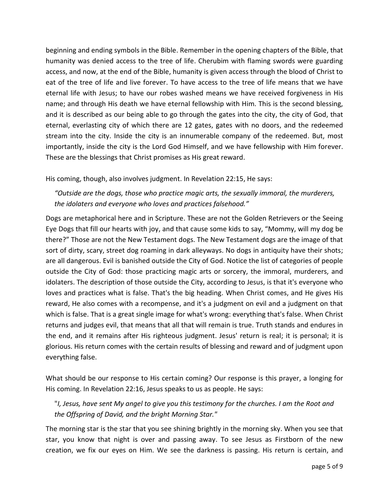beginning and ending symbols in the Bible. Remember in the opening chapters of the Bible, that humanity was denied access to the tree of life. Cherubim with flaming swords were guarding access, and now, at the end of the Bible, humanity is given access through the blood of Christ to eat of the tree of life and live forever. To have access to the tree of life means that we have eternal life with Jesus; to have our robes washed means we have received forgiveness in His name; and through His death we have eternal fellowship with Him. This is the second blessing, and it is described as our being able to go through the gates into the city, the city of God, that eternal, everlasting city of which there are 12 gates, gates with no doors, and the redeemed stream into the city. Inside the city is an innumerable company of the redeemed. But, most importantly, inside the city is the Lord God Himself, and we have fellowship with Him forever. These are the blessings that Christ promises as His great reward.

His coming, though, also involves judgment. In Revelation 22:15, He says:

 *"Outside are the dogs, those who practice magic arts, the sexually immoral, the murderers, the idolaters and everyone who loves and practices falsehood."*

Dogs are metaphorical here and in Scripture. These are not the Golden Retrievers or the Seeing Eye Dogs that fill our hearts with joy, and that cause some kids to say, "Mommy, will my dog be there?" Those are not the New Testament dogs. The New Testament dogs are the image of that sort of dirty, scary, street dog roaming in dark alleyways. No dogs in antiquity have their shots; are all dangerous. Evil is banished outside the City of God. Notice the list of categories of people outside the City of God: those practicing magic arts or sorcery, the immoral, murderers, and idolaters. The description of those outside the City, according to Jesus, is that it's everyone who loves and practices what is false. That's the big heading. When Christ comes, and He gives His reward, He also comes with a recompense, and it's a judgment on evil and a judgment on that which is false. That is a great single image for what's wrong: everything that's false. When Christ returns and judges evil, that means that all that will remain is true. Truth stands and endures in the end, and it remains after His righteous judgment. Jesus' return is real; it is personal; it is glorious. His return comes with the certain results of blessing and reward and of judgment upon everything false.

What should be our response to His certain coming? Our response is this prayer, a longing for His coming. In Revelation 22:16, Jesus speaks to us as people. He says:

 "*I, Jesus, have sent My angel to give you this testimony for the churches. I am the Root and the Offspring of David, and the bright Morning Star."*

The morning star is the star that you see shining brightly in the morning sky. When you see that star, you know that night is over and passing away. To see Jesus as Firstborn of the new creation, we fix our eyes on Him. We see the darkness is passing. His return is certain, and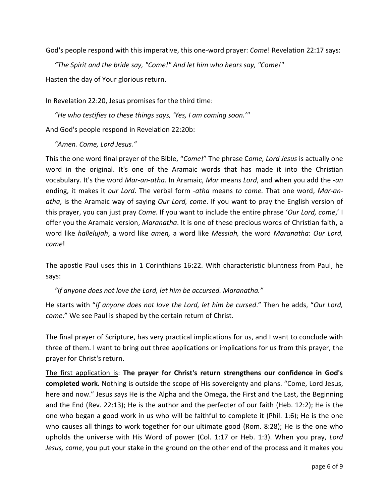God's people respond with this imperative, this one-word prayer: *Come*! Revelation 22:17 says:

*"The Spirit and the bride say, "Come!" And let him who hears say, "Come!"* 

Hasten the day of Your glorious return.

In Revelation 22:20, Jesus promises for the third time:

*"He who testifies to these things says, 'Yes, I am coming soon.'"* 

And God's people respond in Revelation 22:20b:

*"Amen. Come, Lord Jesus."*

This the one word final prayer of the Bible, "*Come!*" The phrase C*ome, Lord Jesus* is actually one word in the original. It's one of the Aramaic words that has made it into the Christian vocabulary. It's the word *Mar-an-atha.* In Aramaic, *Mar* means *Lord*, and when you add the -*an* ending, it makes it *our Lord*. The verbal form *-atha* means *to come.* That one word, *Mar-anatha*, is the Aramaic way of saying *Our Lord, come*. If you want to pray the English version of this prayer, you can just pray *Come*. If you want to include the entire phrase '*Our Lord, come*,' I offer you the Aramaic version, *Maranatha*. It is one of these precious words of Christian faith, a word like *hallelujah*, a word like *amen,* a word like *Messiah,* the word *Maranatha*: *Our Lord, come*!

The apostle Paul uses this in 1 Corinthians 16:22. With characteristic bluntness from Paul, he says:

*"If anyone does not love the Lord, let him be accursed. Maranatha."*

He starts with "*If anyone does not love the Lord, let him be cursed*." Then he adds, "*Our Lord, come*." We see Paul is shaped by the certain return of Christ.

The final prayer of Scripture, has very practical implications for us, and I want to conclude with three of them. I want to bring out three applications or implications for us from this prayer, the prayer for Christ's return.

The first application is: **The prayer for Christ's return strengthens our confidence in God's completed work.** Nothing is outside the scope of His sovereignty and plans. "Come, Lord Jesus, here and now." Jesus says He is the Alpha and the Omega, the First and the Last, the Beginning and the End (Rev. 22:13); He is the author and the perfecter of our faith (Heb. 12:2); He is the one who began a good work in us who will be faithful to complete it (Phil. 1:6); He is the one who causes all things to work together for our ultimate good (Rom. 8:28); He is the one who upholds the universe with His Word of power (Col. 1:17 or Heb. 1:3). When you pray, *Lord Jesus, come*, you put your stake in the ground on the other end of the process and it makes you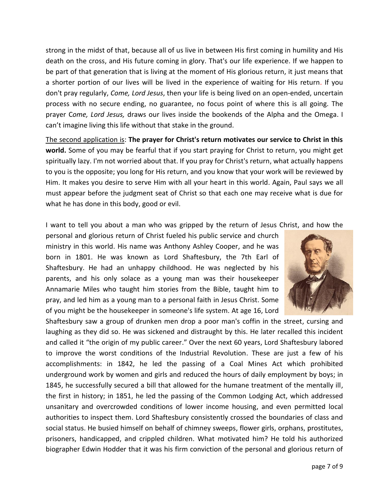strong in the midst of that, because all of us live in between His first coming in humility and His death on the cross, and His future coming in glory. That's our life experience. If we happen to be part of that generation that is living at the moment of His glorious return, it just means that a shorter portion of our lives will be lived in the experience of waiting for His return. If you don't pray regularly, *Come, Lord Jesus*, then your life is being lived on an open-ended, uncertain process with no secure ending, no guarantee, no focus point of where this is all going. The prayer C*ome, Lord Jesus,* draws our lives inside the bookends of the Alpha and the Omega. I can't imagine living this life without that stake in the ground.

The second application is: **The prayer for Christ's return motivates our service to Christ in this world.** Some of you may be fearful that if you start praying for Christ to return, you might get spiritually lazy. I'm not worried about that. If you pray for Christ's return, what actually happens to you is the opposite; you long for His return, and you know that your work will be reviewed by Him. It makes you desire to serve Him with all your heart in this world. Again, Paul says we all must appear before the judgment seat of Christ so that each one may receive what is due for what he has done in this body, good or evil.

I want to tell you about a man who was gripped by the return of Jesus Christ, and how the

personal and glorious return of Christ fueled his public service and church ministry in this world. His name was Anthony Ashley Cooper, and he was born in 1801. He was known as Lord Shaftesbury, the 7th Earl of Shaftesbury. He had an unhappy childhood. He was neglected by his parents, and his only solace as a young man was their housekeeper Annamarie Miles who taught him stories from the Bible, taught him to pray, and led him as a young man to a personal faith in Jesus Christ. Some of you might be the housekeeper in someone's life system. At age 16, Lord



Shaftesbury saw a group of drunken men drop a poor man's coffin in the street, cursing and laughing as they did so. He was sickened and distraught by this. He later recalled this incident and called it "the origin of my public career." Over the next 60 years, Lord Shaftesbury labored to improve the worst conditions of the Industrial Revolution. These are just a few of his accomplishments: in 1842, he led the passing of a Coal Mines Act which prohibited underground work by women and girls and reduced the hours of daily employment by boys; in 1845, he successfully secured a bill that allowed for the humane treatment of the mentally ill, the first in history; in 1851, he led the passing of the Common Lodging Act, which addressed unsanitary and overcrowded conditions of lower income housing, and even permitted local authorities to inspect them. Lord Shaftesbury consistently crossed the boundaries of class and social status. He busied himself on behalf of chimney sweeps, flower girls, orphans, prostitutes, prisoners, handicapped, and crippled children. What motivated him? He told his authorized biographer Edwin Hodder that it was his firm conviction of the personal and glorious return of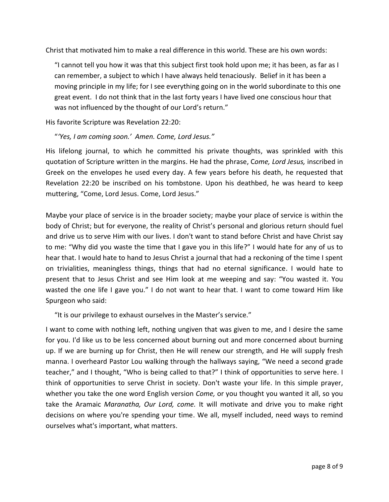Christ that motivated him to make a real difference in this world. These are his own words:

 "I cannot tell you how it was that this subject first took hold upon me; it has been, as far as I can remember, a subject to which I have always held tenaciously. Belief in it has been a moving principle in my life; for I see everything going on in the world subordinate to this one great event. I do not think that in the last forty years I have lived one conscious hour that was not influenced by the thought of our Lord's return."

His favorite Scripture was Revelation 22:20:

"*'Yes, I am coming soon.' Amen. Come, Lord Jesus."*

His lifelong journal, to which he committed his private thoughts, was sprinkled with this quotation of Scripture written in the margins. He had the phrase, C*ome, Lord Jesus,* inscribed in Greek on the envelopes he used every day. A few years before his death, he requested that Revelation 22:20 be inscribed on his tombstone. Upon his deathbed, he was heard to keep muttering, "Come, Lord Jesus. Come, Lord Jesus."

Maybe your place of service is in the broader society; maybe your place of service is within the body of Christ; but for everyone, the reality of Christ's personal and glorious return should fuel and drive us to serve Him with our lives. I don't want to stand before Christ and have Christ say to me: "Why did you waste the time that I gave you in this life?" I would hate for any of us to hear that. I would hate to hand to Jesus Christ a journal that had a reckoning of the time I spent on trivialities, meaningless things, things that had no eternal significance. I would hate to present that to Jesus Christ and see Him look at me weeping and say: "You wasted it. You wasted the one life I gave you." I do not want to hear that. I want to come toward Him like Spurgeon who said:

"It is our privilege to exhaust ourselves in the Master's service."

I want to come with nothing left, nothing ungiven that was given to me, and I desire the same for you. I'd like us to be less concerned about burning out and more concerned about burning up. If we are burning up for Christ, then He will renew our strength, and He will supply fresh manna. I overheard Pastor Lou walking through the hallways saying, "We need a second grade teacher," and I thought, "Who is being called to that?" I think of opportunities to serve here. I think of opportunities to serve Christ in society. Don't waste your life. In this simple prayer, whether you take the one word English version *Come,* or you thought you wanted it all, so you take the Aramaic *Maranatha, Our Lord, come.* It will motivate and drive you to make right decisions on where you're spending your time. We all, myself included, need ways to remind ourselves what's important, what matters.